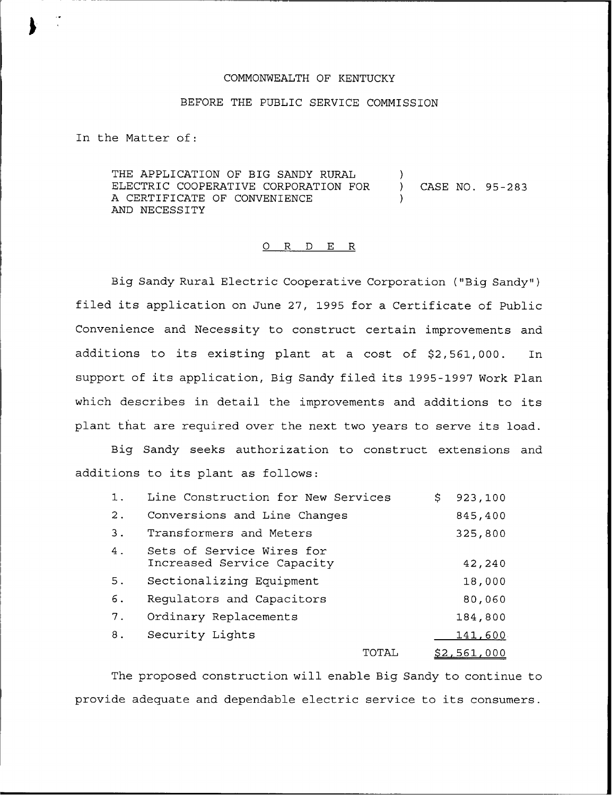## COMMONWEALTH OF KENTUCKY

## BEFORE THE PUBLIC SERVICE COMMISSION

In the Matter of:

THE APPLICATION OF BIG SANDY RURAL ELECTRIC COOPERATIVE CORPORATION FOR A CERTIFICATE OF CONVENIENCE AND NECESSITY ) ) CASE NO. 95-283 )

## 0 R <sup>D</sup> E R

Big Sandy Rural Electric Cooperative Corporation ("Big Sandy" ) filed its application on June 27, 1995 for <sup>a</sup> Certificate of Public Convenience and Necessity to construct certain improvements and additions to its existing plant at a cost of \$2,561,000. In support of its application, Big Sandy filed its 1995-1997 Work Plan which describes in detail the improvements and additions to its plant that are required over the next two years to serve its load.

Big Sandy seeks authorization to construct extensions and additions to its plant as follows:

| 1.    | Line Construction for New Services                      | S. | 923,100            |
|-------|---------------------------------------------------------|----|--------------------|
| $2$ . | Conversions and Line Changes                            |    | 845,400            |
| 3.    | Transformers and Meters                                 |    | 325,800            |
| 4.    | Sets of Service Wires for<br>Increased Service Capacity |    | 42,240             |
| 5.    | Sectionalizing Equipment                                |    | 18,000             |
| 6.    | Regulators and Capacitors                               |    | 80,060             |
| 7.    | Ordinary Replacements                                   |    | 184,800            |
| 8.    | Security Lights                                         |    | 141,600            |
|       | TOTAL                                                   |    | <u>\$2,561,000</u> |

The proposed construction will enable Big Sandy to continue to provide adequate and dependable electric service to its consumers.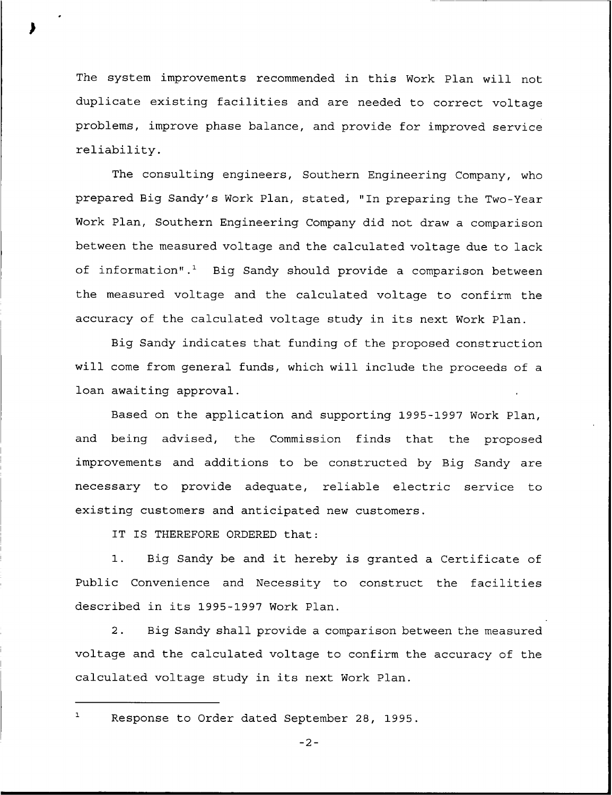The system improvements recommended in this Work Plan will not duplicate existing facilities and are needed to correct voltage problems, improve phase balance, and provide for improved service reliability.

The consulting engineers, Southern Engineering Company, who prepared Big Sandy's Work Plan, stated, "In preparing the Two-Year Work Plan, Southern Engineering Company did not draw a comparison between the measured voltage and the calculated voltage due to lack of information".<sup>1</sup> Big Sandy should provide a comparison between the measured voltage and the calculated voltage to confirm the accuracy of the calculated voltage study in its next Work Plan.

Big Sandy indicates that funding of the proposed construction will come from general funds, which will include the proceeds of a loan awaiting approval.

Based on the application and supporting 1995-1997 Work Plan, and being advised, the Commission finds that the proposed improvements and additions to be constructed by Big Sandy are necessary to provide adequate, reliable electric service to existing customers and anticipated new customers.

IT IS THEREFORE ORDERED that:

1. Big Sandy be and it hereby is granted <sup>a</sup> Certificate of Public Convenience and Necessity to construct the facilities described in its 1995-1997 Work Plan.

2. Big Sandy shall provide a comparison between the measured voltage and the calculated voltage to confirm the accuracy of the calculated voltage study in its next Work Plan.

 $\mathbf{1}$ 

Response to Order dated September 28, 1995.